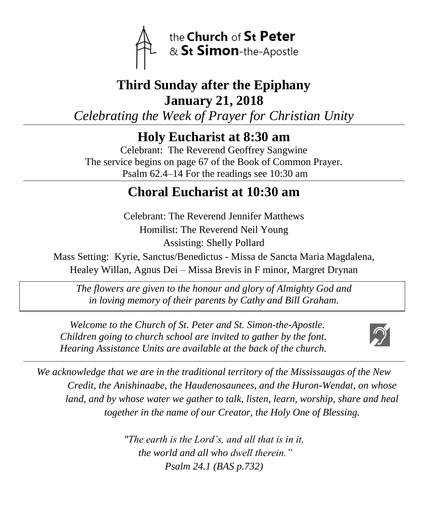

# **Third Sunday after the Epiphany January 21, 2018**

*Celebrating the Week of Prayer for Christian Unity*

**Holy Eucharist at 8:30 am**

Celebrant: The Reverend Geoffrey Sangwine The service begins on page 67 of the Book of Common Prayer. Psalm 62.4–14 For the readings see 10:30 am

# **Choral Eucharist at 10:30 am**

Celebrant: The Reverend Jennifer Matthews Homilist: The Reverend Neil Young Assisting: Shelly Pollard

Mass Setting: Kyrie, Sanctus/Benedictus - Missa de Sancta Maria Magdalena, Healey Willan, Agnus Dei – Missa Brevis in F minor, Margret Drynan

*The flowers are given to the honour and glory of Almighty God and in loving memory of their parents by Cathy and Bill Graham.*

 *Welcome to the Church of St. Peter and St. Simon-the-Apostle. Children going to church school are invited to gather by the font. Hearing Assistance Units are available at the back of the church.*



*We acknowledge that we are in the traditional territory of the Mississaugas of the New Credit, the Anishinaabe, the Haudenosaunees, and the Huron-Wendat, on whose*  land, and by whose water we gather to talk, listen, learn, worship, share and heal *together in the name of our Creator, the Holy One of Blessing.*

> *"The earth is the Lord's, and all that is in it, the world and all who dwell therein." Psalm 24.1 (BAS p.732)*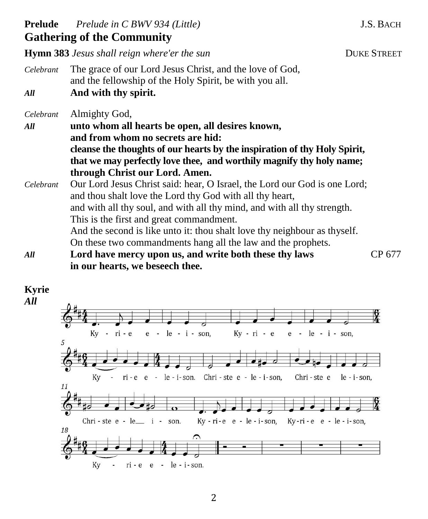### **Prelude** *Prelude in C BWV 934 (Little)* J.S. BACH **Gathering of the Community Hymn 383** *Jesus shall reign where'er the sun* **DUKE STREET** *Celebrant* The grace of our Lord Jesus Christ, and the love of God, and the fellowship of the Holy Spirit, be with you all. *All* **And with thy spirit.** *Celebrant* Almighty God, *All* **unto whom all hearts be open, all desires known, and from whom no secrets are hid: cleanse the thoughts of our hearts by the inspiration of thy Holy Spirit, that we may perfectly love thee, and worthily magnify thy holy name; through Christ our Lord. Amen.** *Celebrant* Our Lord Jesus Christ said: hear, O Israel, the Lord our God is one Lord; and thou shalt love the Lord thy God with all thy heart, and with all thy soul, and with all thy mind, and with all thy strength. This is the first and great commandment. And the second is like unto it: thou shalt love thy neighbour as thyself. On these two commandments hang all the law and the prophets. *All* **Lord have mercy upon us, and write both these thy laws** CP 677 **in our hearts, we beseech thee.**

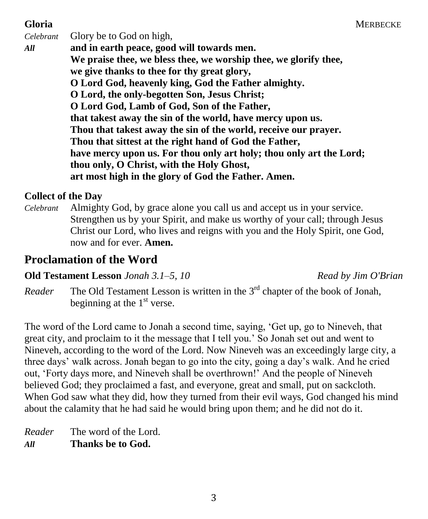*Celebrant* Glory be to God on high, *All* **and in earth peace, good will towards men. We praise thee, we bless thee, we worship thee, we glorify thee, we give thanks to thee for thy great glory, O Lord God, heavenly king, God the Father almighty. O Lord, the only-begotten Son, Jesus Christ; O Lord God, Lamb of God, Son of the Father, that takest away the sin of the world, have mercy upon us. Thou that takest away the sin of the world, receive our prayer. Thou that sittest at the right hand of God the Father, have mercy upon us. For thou only art holy; thou only art the Lord; thou only, O Christ, with the Holy Ghost, art most high in the glory of God the Father. Amen.**

#### **Collect of the Day**

*Celebrant* Almighty God, by grace alone you call us and accept us in your service. Strengthen us by your Spirit, and make us worthy of your call; through Jesus Christ our Lord, who lives and reigns with you and the Holy Spirit, one God, now and for ever. **Amen.**

## **Proclamation of the Word**

### **Old Testament Lesson** *Jonah 3.1–5, 10**Read by Jim O'Brian*

*Reader* The Old Testament Lesson is written in the 3<sup>rd</sup> chapter of the book of Jonah, beginning at the  $1<sup>st</sup>$  verse.

The word of the Lord came to Jonah a second time, saying, 'Get up, go to Nineveh, that great city, and proclaim to it the message that I tell you.' So Jonah set out and went to Nineveh, according to the word of the Lord. Now Nineveh was an exceedingly large city, a three days' walk across. Jonah began to go into the city, going a day's walk. And he cried out, 'Forty days more, and Nineveh shall be overthrown!' And the people of Nineveh believed God; they proclaimed a fast, and everyone, great and small, put on sackcloth. When God saw what they did, how they turned from their evil ways, God changed his mind about the calamity that he had said he would bring upon them; and he did not do it.

*Reader* The word of the Lord. *All* **Thanks be to God.**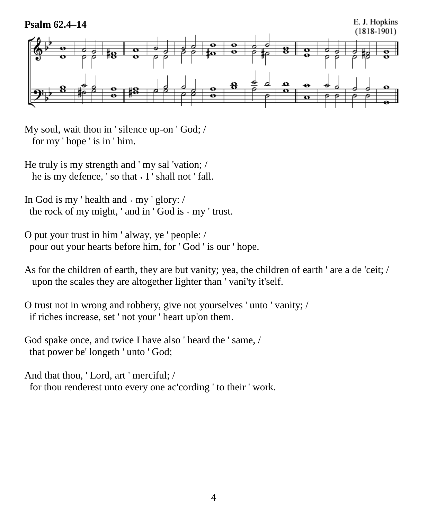

My soul, wait thou in ' silence up-on ' God; / for my ' hope ' is in ' him.

- He truly is my strength and ' my sal 'vation; / he is my defence, ' so that  $\cdot$  I ' shall not ' fall.
- In God is my 'health and  $\cdot$  my ' glory: / the rock of my might, ' and in ' God is  $\cdot$  my ' trust.
- O put your trust in him ' alway, ye ' people: / pour out your hearts before him, for ' God ' is our ' hope.
- As for the children of earth, they are but vanity; yea, the children of earth ' are a de 'ceit; / upon the scales they are altogether lighter than ' vani'ty it'self.
- O trust not in wrong and robbery, give not yourselves ' unto ' vanity; / if riches increase, set ' not your ' heart up'on them.
- God spake once, and twice I have also ' heard the ' same, / that power be' longeth ' unto ' God;

And that thou, ' Lord, art ' merciful; / for thou renderest unto every one ac'cording ' to their ' work.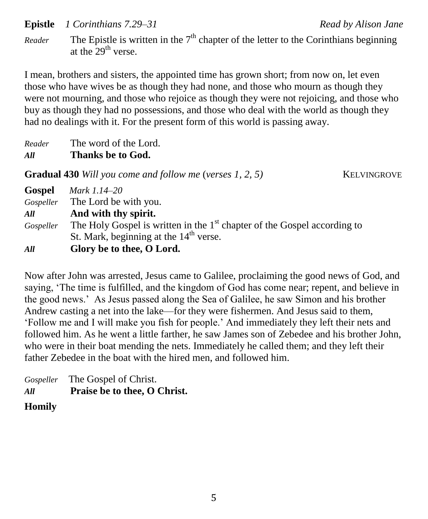**Epistle** *1 Corinthians 7.29–31* Read by Alison Jane

*Reader* The Epistle is written in the  $7<sup>th</sup>$  chapter of the letter to the Corinthians beginning at the  $29<sup>th</sup>$  verse.

I mean, brothers and sisters, the appointed time has grown short; from now on, let even those who have wives be as though they had none, and those who mourn as though they were not mourning, and those who rejoice as though they were not rejoicing, and those who buy as though they had no possessions, and those who deal with the world as though they had no dealings with it. For the present form of this world is passing away.

*Reader* The word of the Lord.

#### *All* **Thanks be to God.**

**Gradual 430** *Will you come and follow me (verses 1, 2, 5)* KELVINGROVE

| Gospel    | Mark 1.14–20                                                               |
|-----------|----------------------------------------------------------------------------|
|           | Gospeller The Lord be with you.                                            |
| All       | And with thy spirit.                                                       |
| Gospeller | The Holy Gospel is written in the $1st$ chapter of the Gospel according to |
|           | St. Mark, beginning at the 14 <sup>th</sup> verse.                         |
| All       | Glory be to thee, O Lord.                                                  |

Now after John was arrested, Jesus came to Galilee, proclaiming the good news of God, and saying, 'The time is fulfilled, and the kingdom of God has come near; repent, and believe in the good news.' As Jesus passed along the Sea of Galilee, he saw Simon and his brother Andrew casting a net into the lake—for they were fishermen. And Jesus said to them, 'Follow me and I will make you fish for people.' And immediately they left their nets and followed him. As he went a little farther, he saw James son of Zebedee and his brother John, who were in their boat mending the nets. Immediately he called them; and they left their father Zebedee in the boat with the hired men, and followed him.

|     | Gospeller The Gospel of Christ. |
|-----|---------------------------------|
| All | Praise be to thee, O Christ.    |

**Homily**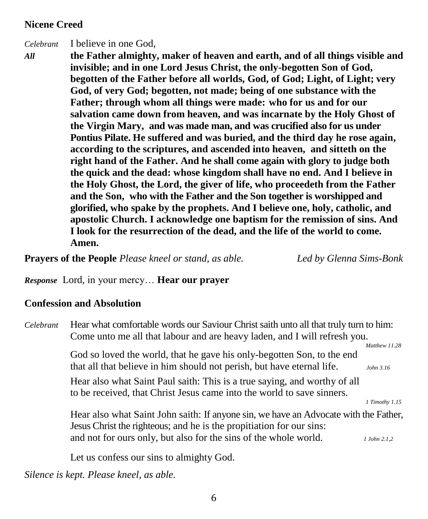#### **Nicene Creed**

*Celebrant* I believe in one God,

*All* **the Father almighty, maker of heaven and earth, and of all things visible and invisible; and in one Lord Jesus Christ, the only-begotten Son of God, begotten of the Father before all worlds, God, of God; Light, of Light; very God, of very God; begotten, not made; being of one substance with the Father; through whom all things were made: who for us and for our salvation came down from heaven, and was incarnate by the Holy Ghost of the Virgin Mary, and was made man, and was crucified also for us under Pontius Pilate. He suffered and was buried, and the third day he rose again, according to the scriptures, and ascended into heaven, and sitteth on the right hand of the Father. And he shall come again with glory to judge both the quick and the dead: whose kingdom shall have no end. And I believe in the Holy Ghost, the Lord, the giver of life, who proceedeth from the Father and the Son, who with the Father and the Son together is worshipped and glorified, who spake by the prophets. And I believe one, holy, catholic, and apostolic Church. I acknowledge one baptism for the remission of sins. And I look for the resurrection of the dead, and the life of the world to come. Amen.**

**Prayers of the People** *Please kneel or stand, as able. Led by Glenna Sims-Bonk*

*Response* Lord, in your mercy… **Hear our prayer**

#### **Confession and Absolution**

| Celebrant | Hear what comfortable words our Saviour Christ saith unto all that truly turn to him:<br>Come unto me all that labour and are heavy laden, and I will refresh you. |                            |
|-----------|--------------------------------------------------------------------------------------------------------------------------------------------------------------------|----------------------------|
|           | God so loved the world, that he gave his only-begotten Son, to the end<br>that all that believe in him should not perish, but have eternal life.                   | Matthew 11.28<br>John 3.16 |
|           | Hear also what Saint Paul saith: This is a true saying, and worthy of all<br>to be received, that Christ Jesus came into the world to save sinners.                | 1 Timothy 1.15             |
|           | Hear also what Saint John saith: If anyone sin, we have an Advocate with the Father,<br>Jesus Christ the righteous; and he is the propitiation for our sins:       |                            |
|           | and not for ours only, but also for the sins of the whole world.                                                                                                   | 1 John 2.1.2               |

Let us confess our sins to almighty God.

*Silence is kept. Please kneel, as able.*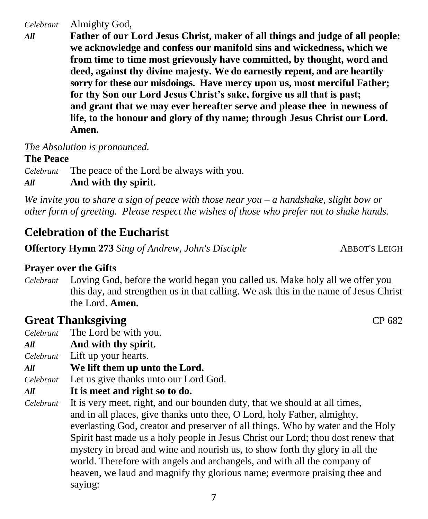*Celebrant* Almighty God,

*All* **Father of our Lord Jesus Christ, maker of all things and judge of all people: we acknowledge and confess our manifold sins and wickedness, which we from time to time most grievously have committed, by thought, word and deed, against thy divine majesty. We do earnestly repent, and are heartily sorry for these our misdoings. Have mercy upon us, most merciful Father; for thy Son our Lord Jesus Christ's sake, forgive us all that is past; and grant that we may ever hereafter serve and please thee in newness of life, to the honour and glory of thy name; through Jesus Christ our Lord. Amen.**

*The Absolution is pronounced.*

#### **The Peace**

*Celebrant* The peace of the Lord be always with you.

#### *All* **And with thy spirit.**

*We invite you to share a sign of peace with those near you – a handshake, slight bow or other form of greeting. Please respect the wishes of those who prefer not to shake hands.*

## **Celebration of the Eucharist**

**Offertory Hymn 273** *Sing of Andrew, John's Disciple* ABBOT'S LEIGH

#### **Prayer over the Gifts**

*Celebrant* Loving God, before the world began you called us. Make holy all we offer you this day, and strengthen us in that calling. We ask this in the name of Jesus Christ the Lord. **Amen.**

### **Great Thanksgiving CP 682**

- *Celebrant* The Lord be with you.
- *All* **And with thy spirit.**
- *Celebrant* Lift up your hearts.
- *All* **We lift them up unto the Lord.**
- *Celebrant* Let us give thanks unto our Lord God.
- *All* **It is meet and right so to do.**
- *Celebrant* It is very meet, right, and our bounden duty, that we should at all times, and in all places, give thanks unto thee, O Lord, holy Father, almighty, everlasting God, creator and preserver of all things. Who by water and the Holy Spirit hast made us a holy people in Jesus Christ our Lord; thou dost renew that mystery in bread and wine and nourish us, to show forth thy glory in all the world. Therefore with angels and archangels, and with all the company of heaven, we laud and magnify thy glorious name; evermore praising thee and saying: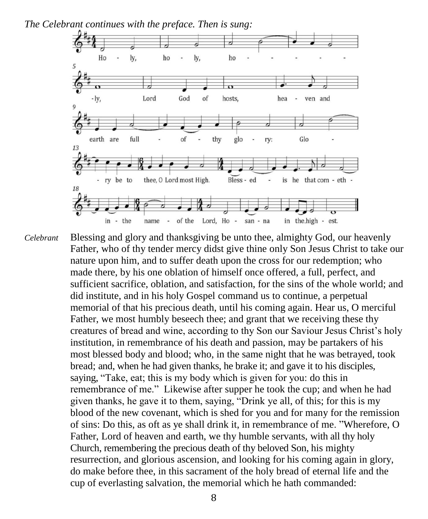*The Celebrant continues with the preface. Then is sung:*



*Celebrant* Blessing and glory and thanksgiving be unto thee, almighty God, our heavenly Father, who of thy tender mercy didst give thine only Son Jesus Christ to take our nature upon him, and to suffer death upon the cross for our redemption; who made there, by his one oblation of himself once offered, a full, perfect, and sufficient sacrifice, oblation, and satisfaction, for the sins of the whole world; and did institute, and in his holy Gospel command us to continue, a perpetual memorial of that his precious death, until his coming again. Hear us, O merciful Father, we most humbly beseech thee; and grant that we receiving these thy creatures of bread and wine, according to thy Son our Saviour Jesus Christ's holy institution, in remembrance of his death and passion, may be partakers of his most blessed body and blood; who, in the same night that he was betrayed, took bread; and, when he had given thanks, he brake it; and gave it to his disciples, saying, "Take, eat; this is my body which is given for you: do this in remembrance of me." Likewise after supper he took the cup; and when he had given thanks, he gave it to them, saying, "Drink ye all, of this; for this is my blood of the new covenant, which is shed for you and for many for the remission of sins: Do this, as oft as ye shall drink it, in remembrance of me. "Wherefore, O Father, Lord of heaven and earth, we thy humble servants, with all thy holy Church, remembering the precious death of thy beloved Son, his mighty resurrection, and glorious ascension, and looking for his coming again in glory, do make before thee, in this sacrament of the holy bread of eternal life and the cup of everlasting salvation, the memorial which he hath commanded: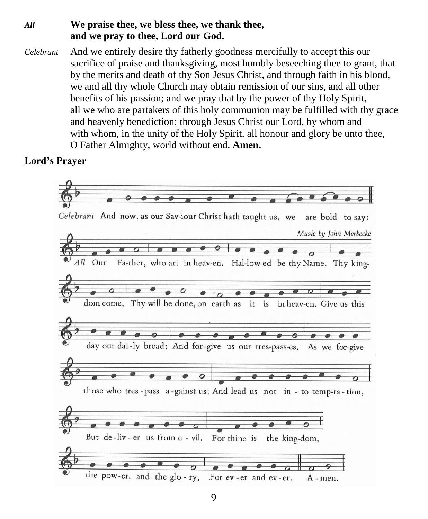#### *All* **We praise thee, we bless thee, we thank thee, and we pray to thee, Lord our God.**

*Celebrant* And we entirely desire thy fatherly goodness mercifully to accept this our sacrifice of praise and thanksgiving, most humbly beseeching thee to grant, that by the merits and death of thy Son Jesus Christ, and through faith in his blood, we and all thy whole Church may obtain remission of our sins, and all other benefits of his passion; and we pray that by the power of thy Holy Spirit, all we who are partakers of this holy communion may be fulfilled with thy grace and heavenly benediction; through Jesus Christ our Lord, by whom and with whom, in the unity of the Holy Spirit, all honour and glory be unto thee, O Father Almighty, world without end. **Amen.**

#### **Lord's Prayer**

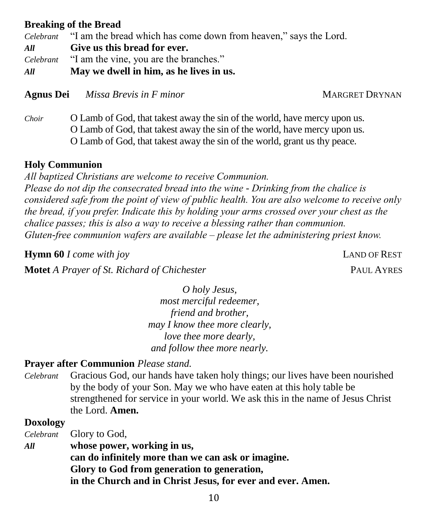#### **Breaking of the Bread**

*Celebrant* "I am the bread which has come down from heaven," says the Lord. *All* **Give us this bread for ever.** *Celebrant* "I am the vine, you are the branches." *All* **May we dwell in him, as he lives in us.**

**Agnus Dei** *Missa Brevis in F minor* MARGRET DRYNAN

*Choir* O Lamb of God, that takest away the sin of the world, have mercy upon us. O Lamb of God, that takest away the sin of the world, have mercy upon us. O Lamb of God, that takest away the sin of the world, grant us thy peace.

#### **Holy Communion**

*All baptized Christians are welcome to receive Communion. Please do not dip the consecrated bread into the wine - Drinking from the chalice is considered safe from the point of view of public health. You are also welcome to receive only the bread, if you prefer. Indicate this by holding your arms crossed over your chest as the chalice passes; this is also a way to receive a blessing rather than communion. Gluten-free communion wafers are available – please let the administering priest know.*

**Hymn 60** *I come with joy* LAND OF REST

**Motet** *A Prayer of St. Richard of Chichester* **<b>PAUL AYRES PAUL AYRES** 

*O holy Jesus, most merciful redeemer, friend and brother, may I know thee more clearly, love thee more dearly, and follow thee more nearly.*

#### **Prayer after Communion** *Please stand.*

*Celebrant* Gracious God, our hands have taken holy things; our lives have been nourished by the body of your Son. May we who have eaten at this holy table be strengthened for service in your world. We ask this in the name of Jesus Christ the Lord. **Amen.**

#### **Doxology**

*Celebrant* Glory to God,

*All* **whose power, working in us,**

**can do infinitely more than we can ask or imagine. Glory to God from generation to generation, in the Church and in Christ Jesus, for ever and ever. Amen.**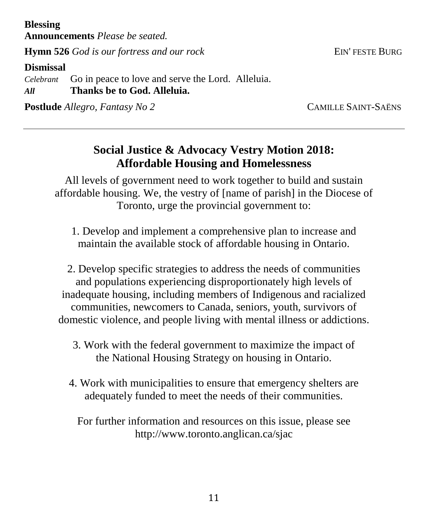**Blessing**

**Announcements** *Please be seated.*

**Hymn 526** *God is our fortress and our rock* EIN' FESTE BURG

#### **Dismissal**

*Celebrant* Go in peace to love and serve the Lord. Alleluia. *All* **Thanks be to God. Alleluia.**

**Postlude** *Allegro, Fantasy No 2* CAMILLE SAINT-SAËNS

## **Social Justice & Advocacy Vestry Motion 2018: Affordable Housing and Homelessness**

All levels of government need to work together to build and sustain affordable housing. We, the vestry of [name of parish] in the Diocese of Toronto, urge the provincial government to:

1. Develop and implement a comprehensive plan to increase and maintain the available stock of affordable housing in Ontario.

2. Develop specific strategies to address the needs of communities and populations experiencing disproportionately high levels of inadequate housing, including members of Indigenous and racialized communities, newcomers to Canada, seniors, youth, survivors of domestic violence, and people living with mental illness or addictions.

- 3. Work with the federal government to maximize the impact of the National Housing Strategy on housing in Ontario.
- 4. Work with municipalities to ensure that emergency shelters are adequately funded to meet the needs of their communities.

For further information and resources on this issue, please see http://www.toronto.anglican.ca/sjac